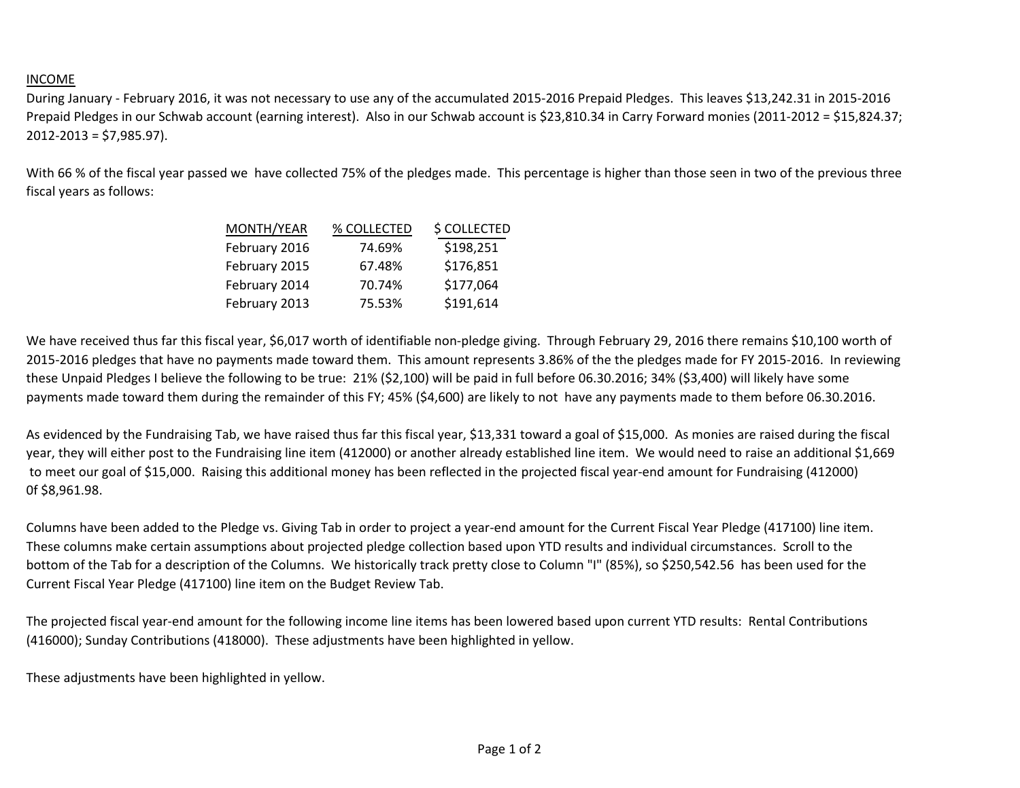## INCOME

During January - February 2016, it was not necessary to use any of the accumulated 2015-2016 Prepaid Pledges. This leaves \$13,242.31 in 2015-2016 Prepaid Pledges in our Schwab account (earning interest). Also in our Schwab account is \$23,810.34 in Carry Forward monies (2011-2012 = \$15,824.37; 2012-2013 = \$7,985.97).

With 66 % of the fiscal year passed we have collected 75% of the pledges made. This percentage is higher than those seen in two of the previous three fiscal years as follows:

| MONTH/YEAR    | % COLLECTED | \$ COLLECTED |
|---------------|-------------|--------------|
| February 2016 | 74.69%      | \$198,251    |
| February 2015 | 67.48%      | \$176,851    |
| February 2014 | 70.74%      | \$177,064    |
| February 2013 | 75.53%      | \$191,614    |

We have received thus far this fiscal year, \$6,017 worth of identifiable non-pledge giving. Through February 29, 2016 there remains \$10,100 worth of 2015-2016 pledges that have no payments made toward them. This amount represents 3.86% of the the pledges made for FY 2015-2016. In reviewing these Unpaid Pledges I believe the following to be true: 21% (\$2,100) will be paid in full before 06.30.2016; 34% (\$3,400) will likely have some payments made toward them during the remainder of this FY; 45% (\$4,600) are likely to not have any payments made to them before 06.30.2016.

As evidenced by the Fundraising Tab, we have raised thus far this fiscal year, \$13,331 toward a goal of \$15,000. As monies are raised during the fiscal year, they will either post to the Fundraising line item (412000) or another already established line item. We would need to raise an additional \$1,669 to meet our goal of \$15,000. Raising this additional money has been reflected in the projected fiscal year-end amount for Fundraising (412000) 0f \$8,961.98.

Columns have been added to the Pledge vs. Giving Tab in order to project a year-end amount for the Current Fiscal Year Pledge (417100) line item. These columns make certain assumptions about projected pledge collection based upon YTD results and individual circumstances. Scroll to the bottom of the Tab for a description of the Columns. We historically track pretty close to Column "I" (85%), so \$250,542.56 has been used for the Current Fiscal Year Pledge (417100) line item on the Budget Review Tab.

The projected fiscal year-end amount for the following income line items has been lowered based upon current YTD results: Rental Contributions (416000); Sunday Contributions (418000). These adjustments have been highlighted in yellow.

These adjustments have been highlighted in yellow.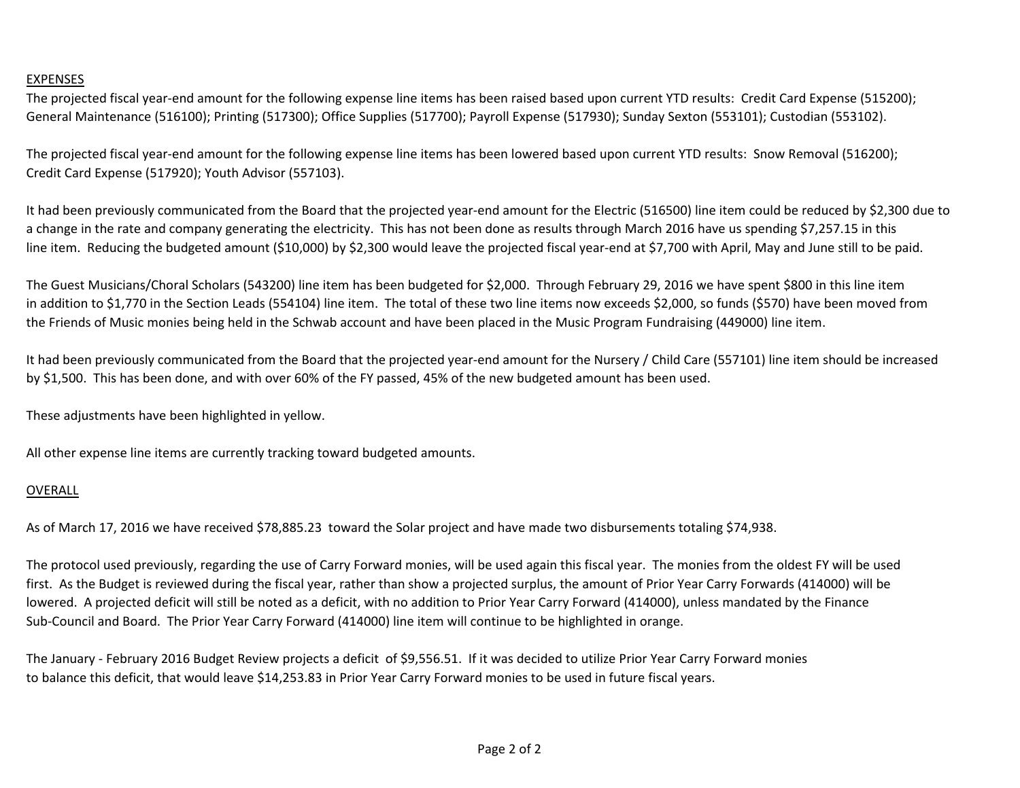## EXPENSES

The projected fiscal year-end amount for the following expense line items has been raised based upon current YTD results: Credit Card Expense (515200); General Maintenance (516100); Printing (517300); Office Supplies (517700); Payroll Expense (517930); Sunday Sexton (553101); Custodian (553102).

The projected fiscal year-end amount for the following expense line items has been lowered based upon current YTD results: Snow Removal (516200); Credit Card Expense (517920); Youth Advisor (557103).

It had been previously communicated from the Board that the projected year-end amount for the Electric (516500) line item could be reduced by \$2,300 due to a change in the rate and company generating the electricity. This has not been done as results through March 2016 have us spending \$7,257.15 in this line item. Reducing the budgeted amount (\$10,000) by \$2,300 would leave the projected fiscal year-end at \$7,700 with April, May and June still to be paid.

The Guest Musicians/Choral Scholars (543200) line item has been budgeted for \$2,000. Through February 29, 2016 we have spent \$800 in this line item in addition to \$1,770 in the Section Leads (554104) line item. The total of these two line items now exceeds \$2,000, so funds (\$570) have been moved from the Friends of Music monies being held in the Schwab account and have been placed in the Music Program Fundraising (449000) line item.

It had been previously communicated from the Board that the projected year-end amount for the Nursery / Child Care (557101) line item should be increased by \$1,500. This has been done, and with over 60% of the FY passed, 45% of the new budgeted amount has been used.

These adjustments have been highlighted in yellow.

All other expense line items are currently tracking toward budgeted amounts.

## OVERALL

As of March 17, 2016 we have received \$78,885.23 toward the Solar project and have made two disbursements totaling \$74,938.

The protocol used previously, regarding the use of Carry Forward monies, will be used again this fiscal year. The monies from the oldest FY will be used first. As the Budget is reviewed during the fiscal year, rather than show a projected surplus, the amount of Prior Year Carry Forwards (414000) will be lowered. A projected deficit will still be noted as a deficit, with no addition to Prior Year Carry Forward (414000), unless mandated by the Finance Sub-Council and Board. The Prior Year Carry Forward (414000) line item will continue to be highlighted in orange.

The January - February 2016 Budget Review projects a deficit of \$9,556.51. If it was decided to utilize Prior Year Carry Forward monies to balance this deficit, that would leave \$14,253.83 in Prior Year Carry Forward monies to be used in future fiscal years.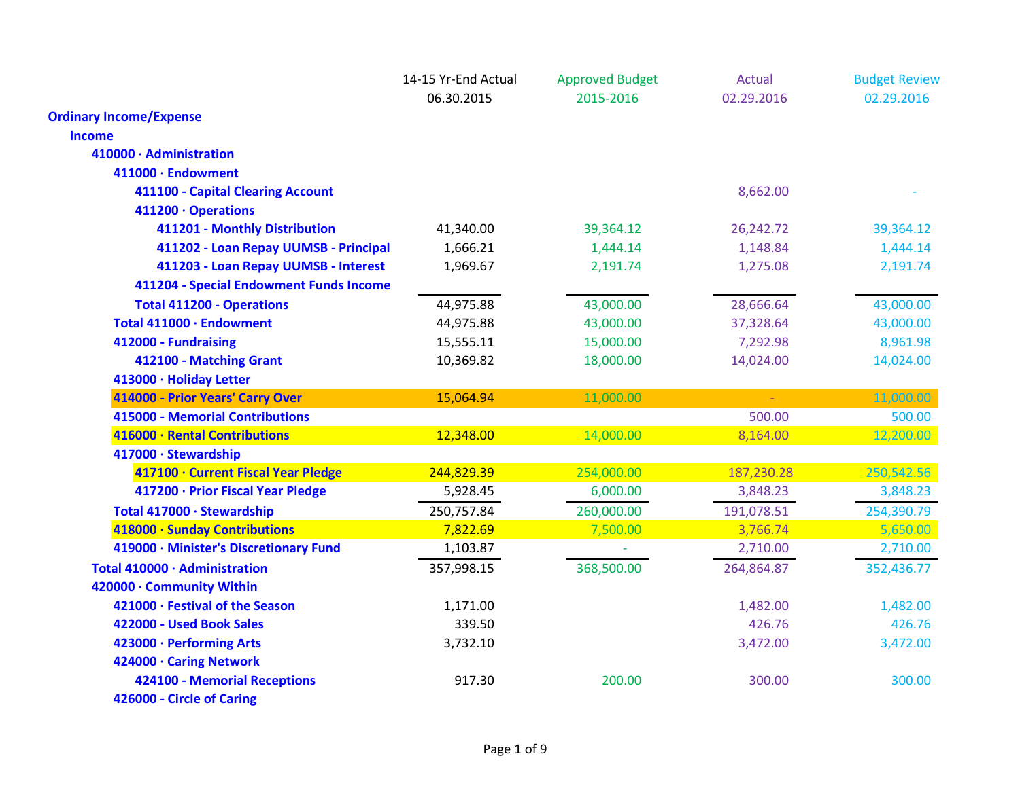|                                         | 14-15 Yr-End Actual | <b>Approved Budget</b> | <b>Actual</b> | <b>Budget Review</b> |
|-----------------------------------------|---------------------|------------------------|---------------|----------------------|
|                                         | 06.30.2015          | 2015-2016              | 02.29.2016    | 02.29.2016           |
| <b>Ordinary Income/Expense</b>          |                     |                        |               |                      |
| <b>Income</b>                           |                     |                        |               |                      |
| 410000 · Administration                 |                     |                        |               |                      |
| 411000 · Endowment                      |                     |                        |               |                      |
| 411100 - Capital Clearing Account       |                     |                        | 8,662.00      |                      |
| 411200 · Operations                     |                     |                        |               |                      |
| 411201 - Monthly Distribution           | 41,340.00           | 39,364.12              | 26,242.72     | 39,364.12            |
| 411202 - Loan Repay UUMSB - Principal   | 1,666.21            | 1,444.14               | 1,148.84      | 1,444.14             |
| 411203 - Loan Repay UUMSB - Interest    | 1,969.67            | 2,191.74               | 1,275.08      | 2,191.74             |
| 411204 - Special Endowment Funds Income |                     |                        |               |                      |
| <b>Total 411200 - Operations</b>        | 44,975.88           | 43,000.00              | 28,666.64     | 43,000.00            |
| Total 411000 · Endowment                | 44,975.88           | 43,000.00              | 37,328.64     | 43,000.00            |
| 412000 - Fundraising                    | 15,555.11           | 15,000.00              | 7,292.98      | 8,961.98             |
| 412100 - Matching Grant                 | 10,369.82           | 18,000.00              | 14,024.00     | 14,024.00            |
| 413000 · Holiday Letter                 |                     |                        |               |                      |
| 414000 - Prior Years' Carry Over        | 15,064.94           | 11,000.00              | $\Delta \sim$ | 11,000.00            |
| <b>415000 - Memorial Contributions</b>  |                     |                        | 500.00        | 500.00               |
| 416000 · Rental Contributions           | 12,348.00           | 14,000.00              | 8,164.00      | 12,200.00            |
| 417000 · Stewardship                    |                     |                        |               |                      |
| 417100 · Current Fiscal Year Pledge     | 244,829.39          | 254,000.00             | 187,230.28    | 250,542.56           |
| 417200 · Prior Fiscal Year Pledge       | 5,928.45            | 6,000.00               | 3,848.23      | 3,848.23             |
| Total 417000 · Stewardship              | 250,757.84          | 260,000.00             | 191,078.51    | 254,390.79           |
| 418000 · Sunday Contributions           | 7,822.69            | 7,500.00               | 3,766.74      | 5,650.00             |
| 419000 · Minister's Discretionary Fund  | 1,103.87            |                        | 2,710.00      | 2,710.00             |
| Total 410000 · Administration           | 357,998.15          | 368,500.00             | 264,864.87    | 352,436.77           |
| 420000 · Community Within               |                     |                        |               |                      |
| 421000 · Festival of the Season         | 1,171.00            |                        | 1,482.00      | 1,482.00             |
| 422000 - Used Book Sales                | 339.50              |                        | 426.76        | 426.76               |
| 423000 · Performing Arts                | 3,732.10            |                        | 3,472.00      | 3,472.00             |
| 424000 · Caring Network                 |                     |                        |               |                      |
| <b>424100 - Memorial Receptions</b>     | 917.30              | 200.00                 | 300.00        | 300.00               |
| 426000 - Circle of Caring               |                     |                        |               |                      |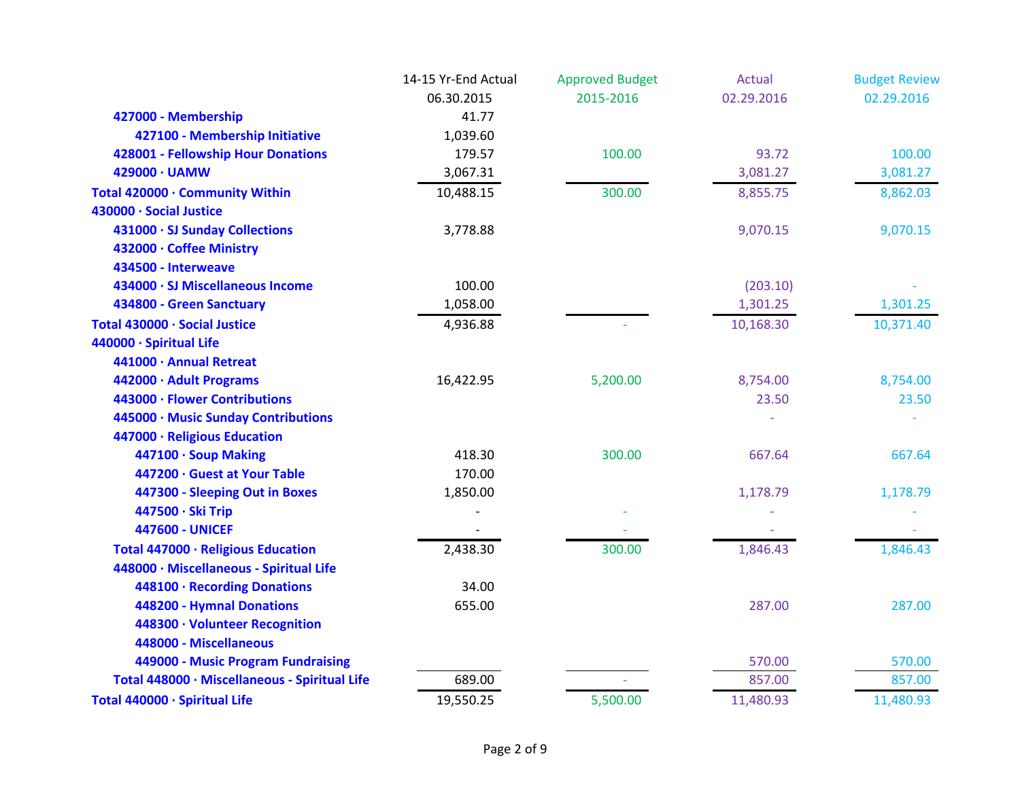|                                               | 14-15 Yr-End Actual | <b>Approved Budget</b> | Actual     | <b>Budget Review</b> |
|-----------------------------------------------|---------------------|------------------------|------------|----------------------|
|                                               | 06.30.2015          | 2015-2016              | 02.29.2016 | 02.29.2016           |
| 427000 - Membership                           | 41.77               |                        |            |                      |
| 427100 - Membership Initiative                | 1,039.60            |                        |            |                      |
| 428001 - Fellowship Hour Donations            | 179.57              | 100.00                 | 93.72      | 100.00               |
| 429000 · UAMW                                 | 3,067.31            |                        | 3,081.27   | 3,081.27             |
| Total 420000 · Community Within               | 10,488.15           | 300.00                 | 8,855.75   | 8,862.03             |
| 430000 · Social Justice                       |                     |                        |            |                      |
| 431000 · SJ Sunday Collections                | 3,778.88            |                        | 9,070.15   | 9,070.15             |
| 432000 · Coffee Ministry                      |                     |                        |            |                      |
| 434500 - Interweave                           |                     |                        |            |                      |
| 434000 · SJ Miscellaneous Income              | 100.00              |                        | (203.10)   |                      |
| 434800 - Green Sanctuary                      | 1,058.00            |                        | 1,301.25   | 1,301.25             |
| Total 430000 · Social Justice                 | 4,936.88            |                        | 10,168.30  | 10,371.40            |
| 440000 · Spiritual Life                       |                     |                        |            |                      |
| 441000 · Annual Retreat                       |                     |                        |            |                      |
| 442000 · Adult Programs                       | 16,422.95           | 5,200.00               | 8,754.00   | 8,754.00             |
| 443000 · Flower Contributions                 |                     |                        | 23.50      | 23.50                |
| 445000 · Music Sunday Contributions           |                     |                        |            |                      |
| 447000 · Religious Education                  |                     |                        |            |                      |
| 447100 · Soup Making                          | 418.30              | 300.00                 | 667.64     | 667.64               |
| 447200 · Guest at Your Table                  | 170.00              |                        |            |                      |
| 447300 - Sleeping Out in Boxes                | 1,850.00            |                        | 1,178.79   | 1,178.79             |
| 447500 · Ski Trip                             |                     |                        |            |                      |
| <b>447600 - UNICEF</b>                        |                     |                        |            |                      |
| Total 447000 · Religious Education            | 2,438.30            | 300.00                 | 1,846.43   | 1,846.43             |
| 448000 · Miscellaneous - Spiritual Life       |                     |                        |            |                      |
| 448100 · Recording Donations                  | 34.00               |                        |            |                      |
| 448200 - Hymnal Donations                     | 655.00              |                        | 287.00     | 287.00               |
| 448300 · Volunteer Recognition                |                     |                        |            |                      |
| 448000 - Miscellaneous                        |                     |                        |            |                      |
| 449000 - Music Program Fundraising            |                     |                        | 570.00     | 570.00               |
| Total 448000 · Miscellaneous - Spiritual Life | 689.00              | ÷                      | 857.00     | 857.00               |
| Total 440000 · Spiritual Life                 | 19,550.25           | 5,500.00               | 11,480.93  | 11,480.93            |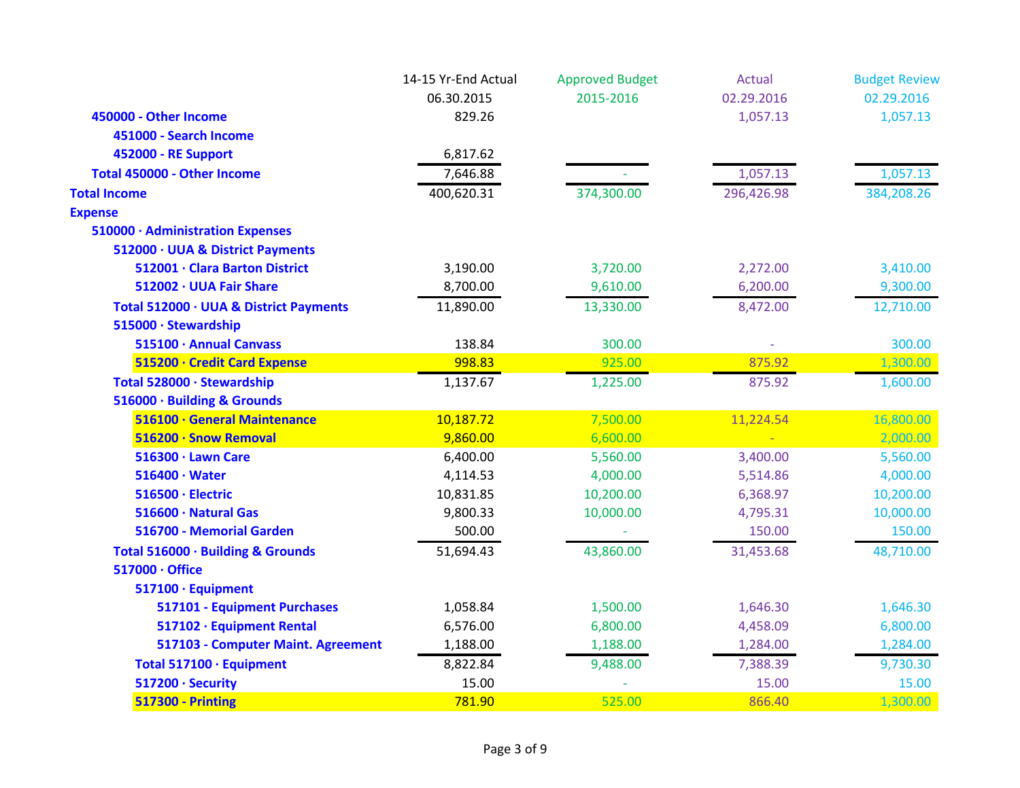|                                        | 14-15 Yr-End Actual | <b>Approved Budget</b> | <b>Actual</b> | <b>Budget Review</b> |
|----------------------------------------|---------------------|------------------------|---------------|----------------------|
|                                        | 06.30.2015          | 2015-2016              | 02.29.2016    | 02.29.2016           |
| 450000 - Other Income                  | 829.26              |                        | 1,057.13      | 1,057.13             |
| 451000 - Search Income                 |                     |                        |               |                      |
| 452000 - RE Support                    | 6,817.62            |                        |               |                      |
| Total 450000 - Other Income            | 7,646.88            |                        | 1,057.13      | 1,057.13             |
| <b>Total Income</b>                    | 400,620.31          | 374,300.00             | 296,426.98    | 384,208.26           |
| <b>Expense</b>                         |                     |                        |               |                      |
| 510000 · Administration Expenses       |                     |                        |               |                      |
| 512000 · UUA & District Payments       |                     |                        |               |                      |
| 512001 · Clara Barton District         | 3,190.00            | 3,720.00               | 2,272.00      | 3,410.00             |
| 512002 · UUA Fair Share                | 8,700.00            | 9,610.00               | 6,200.00      | 9,300.00             |
| Total 512000 · UUA & District Payments | 11,890.00           | 13,330.00              | 8,472.00      | 12,710.00            |
| 515000 · Stewardship                   |                     |                        |               |                      |
| 515100 · Annual Canvass                | 138.84              | 300.00                 |               | 300.00               |
| 515200 · Credit Card Expense           | 998.83              | 925.00                 | 875.92        | 1,300.00             |
| Total 528000 · Stewardship             | 1,137.67            | 1,225.00               | 875.92        | 1,600.00             |
| 516000 · Building & Grounds            |                     |                        |               |                      |
| 516100 · General Maintenance           | 10,187.72           | 7,500.00               | 11,224.54     | 16,800.00            |
| 516200 · Snow Removal                  | 9,860.00            | 6,600.00               |               | 2,000.00             |
| 516300 · Lawn Care                     | 6,400.00            | 5,560.00               | 3,400.00      | 5,560.00             |
| $516400 \cdot Water$                   | 4,114.53            | 4,000.00               | 5,514.86      | 4,000.00             |
| 516500 · Electric                      | 10,831.85           | 10,200.00              | 6,368.97      | 10,200.00            |
| 516600 · Natural Gas                   | 9,800.33            | 10,000.00              | 4,795.31      | 10,000.00            |
| 516700 - Memorial Garden               | 500.00              |                        | 150.00        | 150.00               |
| Total 516000 · Building & Grounds      | 51,694.43           | 43,860.00              | 31,453.68     | 48,710.00            |
| 517000 · Office                        |                     |                        |               |                      |
| 517100 · Equipment                     |                     |                        |               |                      |
| 517101 - Equipment Purchases           | 1,058.84            | 1,500.00               | 1,646.30      | 1,646.30             |
| 517102 · Equipment Rental              | 6,576.00            | 6,800.00               | 4,458.09      | 6,800.00             |
| 517103 - Computer Maint. Agreement     | 1,188.00            | 1,188.00               | 1,284.00      | 1,284.00             |
| Total 517100 · Equipment               | 8,822.84            | 9,488.00               | 7,388.39      | 9,730.30             |
| 517200 · Security                      | 15.00               |                        | 15.00         | 15.00                |
| <b>517300 - Printing</b>               | 781.90              | 525.00                 | 866.40        | 1,300.00             |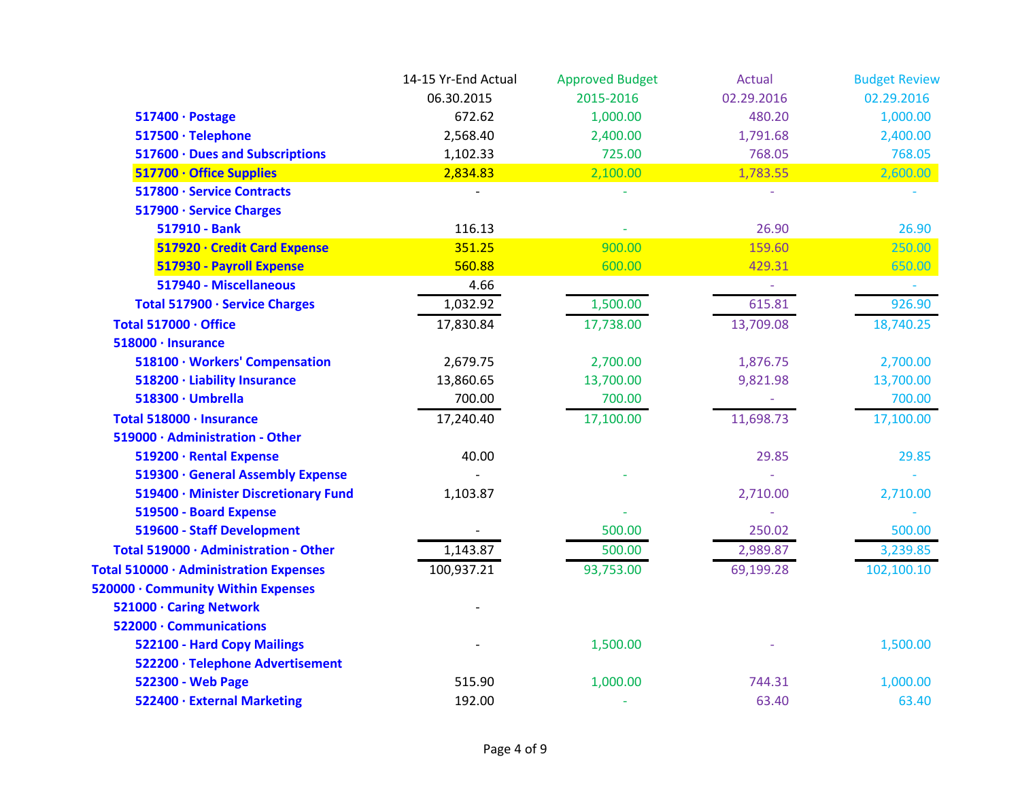|                                        | 14-15 Yr-End Actual | <b>Approved Budget</b> | <b>Actual</b> | <b>Budget Review</b> |
|----------------------------------------|---------------------|------------------------|---------------|----------------------|
|                                        | 06.30.2015          | 2015-2016              | 02.29.2016    | 02.29.2016           |
| 517400 · Postage                       | 672.62              | 1,000.00               | 480.20        | 1,000.00             |
| 517500 · Telephone                     | 2,568.40            | 2,400.00               | 1,791.68      | 2,400.00             |
| 517600 · Dues and Subscriptions        | 1,102.33            | 725.00                 | 768.05        | 768.05               |
| 517700 · Office Supplies               | 2,834.83            | 2,100.00               | 1,783.55      | 2,600.00             |
| 517800 · Service Contracts             |                     |                        |               |                      |
| 517900 · Service Charges               |                     |                        |               |                      |
| 517910 - Bank                          | 116.13              |                        | 26.90         | 26.90                |
| 517920 · Credit Card Expense           | 351.25              | 900.00                 | 159.60        | 250.00               |
| 517930 - Payroll Expense               | 560.88              | 600.00                 | 429.31        | 650.00               |
| 517940 - Miscellaneous                 | 4.66                |                        | $\equiv$      |                      |
| Total 517900 · Service Charges         | 1,032.92            | 1,500.00               | 615.81        | 926.90               |
| Total 517000 · Office                  | 17,830.84           | 17,738.00              | 13,709.08     | 18,740.25            |
| 518000 · Insurance                     |                     |                        |               |                      |
| 518100 · Workers' Compensation         | 2,679.75            | 2,700.00               | 1,876.75      | 2,700.00             |
| 518200 · Liability Insurance           | 13,860.65           | 13,700.00              | 9,821.98      | 13,700.00            |
| 518300 · Umbrella                      | 700.00              | 700.00                 |               | 700.00               |
| Total 518000 · Insurance               | 17,240.40           | 17,100.00              | 11,698.73     | 17,100.00            |
| 519000 · Administration - Other        |                     |                        |               |                      |
| 519200 · Rental Expense                | 40.00               |                        | 29.85         | 29.85                |
| 519300 · General Assembly Expense      |                     |                        |               |                      |
| 519400 · Minister Discretionary Fund   | 1,103.87            |                        | 2,710.00      | 2,710.00             |
| 519500 - Board Expense                 |                     |                        |               |                      |
| 519600 - Staff Development             |                     | 500.00                 | 250.02        | 500.00               |
| Total 519000 · Administration - Other  | 1,143.87            | 500.00                 | 2,989.87      | 3,239.85             |
| Total 510000 · Administration Expenses | 100,937.21          | 93,753.00              | 69,199.28     | 102,100.10           |
| 520000 · Community Within Expenses     |                     |                        |               |                      |
| 521000 · Caring Network                |                     |                        |               |                      |
| 522000 · Communications                |                     |                        |               |                      |
| 522100 - Hard Copy Mailings            |                     | 1,500.00               |               | 1,500.00             |
| 522200 · Telephone Advertisement       |                     |                        |               |                      |
| 522300 - Web Page                      | 515.90              | 1,000.00               | 744.31        | 1,000.00             |
| 522400 · External Marketing            | 192.00              |                        | 63.40         | 63.40                |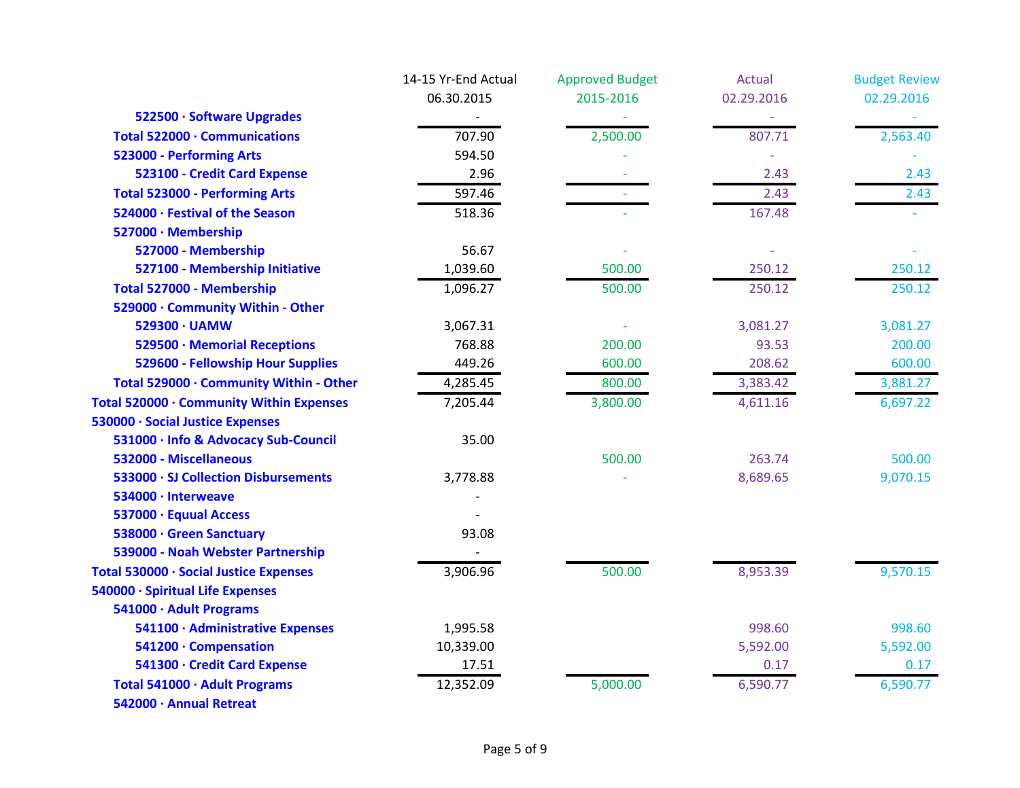|                                          | 14-15 Yr-End Actual | <b>Approved Budget</b> | <b>Actual</b> | <b>Budget Review</b> |
|------------------------------------------|---------------------|------------------------|---------------|----------------------|
|                                          | 06.30.2015          | 2015-2016              | 02.29.2016    | 02.29.2016           |
| 522500 · Software Upgrades               |                     |                        |               |                      |
| Total 522000 · Communications            | 707.90              | 2,500.00               | 807.71        | 2,563.40             |
| 523000 - Performing Arts                 | 594.50              |                        |               |                      |
| 523100 - Credit Card Expense             | 2.96                |                        | 2.43          | 2.43                 |
| <b>Total 523000 - Performing Arts</b>    | 597.46              |                        | 2.43          | 2.43                 |
| 524000 · Festival of the Season          | 518.36              |                        | 167.48        |                      |
| 527000 · Membership                      |                     |                        |               |                      |
| 527000 - Membership                      | 56.67               |                        |               |                      |
| 527100 - Membership Initiative           | 1,039.60            | 500.00                 | 250.12        | 250.12               |
| Total 527000 - Membership                | 1,096.27            | 500.00                 | 250.12        | 250.12               |
| 529000 · Community Within - Other        |                     |                        |               |                      |
| 529300 · UAMW                            | 3,067.31            |                        | 3,081.27      | 3,081.27             |
| 529500 · Memorial Receptions             | 768.88              | 200.00                 | 93.53         | 200.00               |
| 529600 - Fellowship Hour Supplies        | 449.26              | 600.00                 | 208.62        | 600.00               |
| Total 529000 · Community Within - Other  | 4,285.45            | 800.00                 | 3,383.42      | 3,881.27             |
| Total 520000 · Community Within Expenses | 7,205.44            | 3,800.00               | 4,611.16      | 6,697.22             |
| 530000 · Social Justice Expenses         |                     |                        |               |                      |
| 531000 · Info & Advocacy Sub-Council     | 35.00               |                        |               |                      |
| 532000 - Miscellaneous                   |                     | 500.00                 | 263.74        | 500.00               |
| 533000 · SJ Collection Disbursements     | 3,778.88            |                        | 8,689.65      | 9,070.15             |
| 534000 · Interweave                      |                     |                        |               |                      |
| 537000 · Equual Access                   |                     |                        |               |                      |
| 538000 · Green Sanctuary                 | 93.08               |                        |               |                      |
| 539000 - Noah Webster Partnership        |                     |                        |               |                      |
| Total 530000 · Social Justice Expenses   | 3,906.96            | 500.00                 | 8,953.39      | 9,570.15             |
| 540000 · Spiritual Life Expenses         |                     |                        |               |                      |
| 541000 · Adult Programs                  |                     |                        |               |                      |
| 541100 · Administrative Expenses         | 1,995.58            |                        | 998.60        | 998.60               |
| 541200 · Compensation                    | 10,339.00           |                        | 5,592.00      | 5,592.00             |
| 541300 · Credit Card Expense             | 17.51               |                        | 0.17          | 0.17                 |
| Total 541000 · Adult Programs            | 12,352.09           | 5,000.00               | 6,590.77      | 6,590.77             |
| 542000 · Annual Retreat                  |                     |                        |               |                      |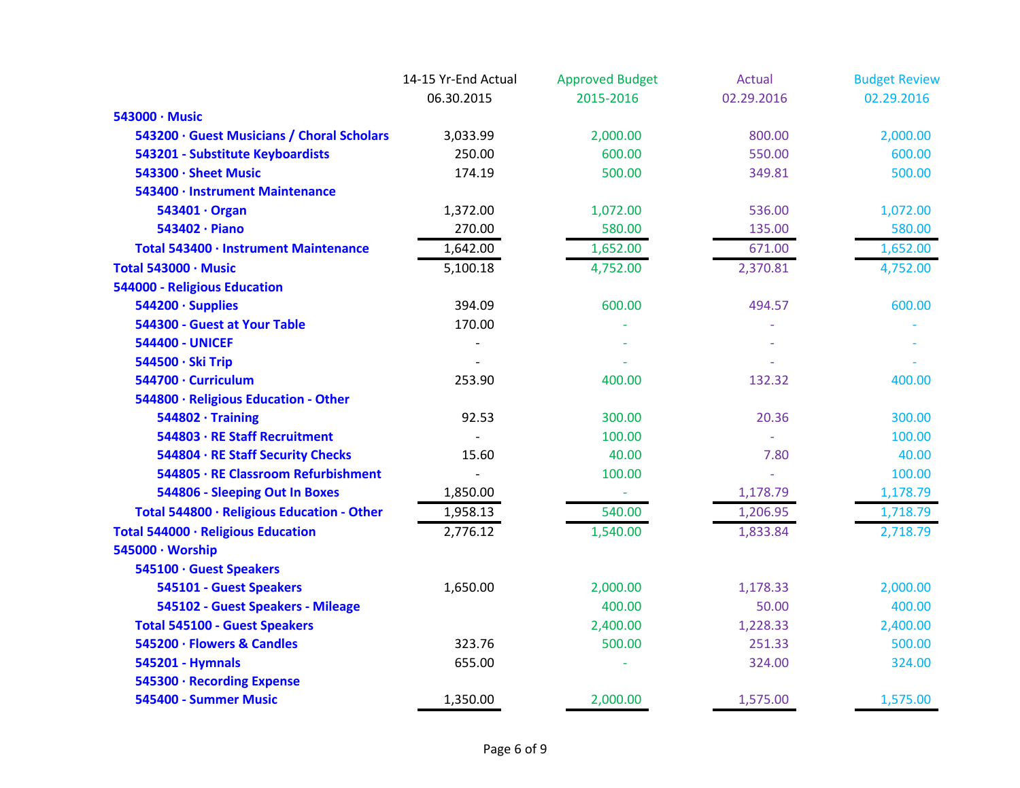|                                            | 14-15 Yr-End Actual | <b>Approved Budget</b> | Actual     | <b>Budget Review</b> |
|--------------------------------------------|---------------------|------------------------|------------|----------------------|
|                                            | 06.30.2015          | 2015-2016              | 02.29.2016 | 02.29.2016           |
| 543000 · Music                             |                     |                        |            |                      |
| 543200 · Guest Musicians / Choral Scholars | 3,033.99            | 2,000.00               | 800.00     | 2,000.00             |
| 543201 - Substitute Keyboardists           | 250.00              | 600.00                 | 550.00     | 600.00               |
| 543300 · Sheet Music                       | 174.19              | 500.00                 | 349.81     | 500.00               |
| 543400 · Instrument Maintenance            |                     |                        |            |                      |
| 543401 · Organ                             | 1,372.00            | 1,072.00               | 536.00     | 1,072.00             |
| 543402 · Piano                             | 270.00              | 580.00                 | 135.00     | 580.00               |
| Total 543400 · Instrument Maintenance      | 1,642.00            | 1,652.00               | 671.00     | 1,652.00             |
| Total 543000 · Music                       | 5,100.18            | 4,752.00               | 2,370.81   | 4,752.00             |
| 544000 - Religious Education               |                     |                        |            |                      |
| 544200 · Supplies                          | 394.09              | 600.00                 | 494.57     | 600.00               |
| 544300 - Guest at Your Table               | 170.00              |                        |            |                      |
| <b>544400 - UNICEF</b>                     |                     |                        |            |                      |
| 544500 · Ski Trip                          |                     |                        |            |                      |
| 544700 · Curriculum                        | 253.90              | 400.00                 | 132.32     | 400.00               |
| 544800 · Religious Education - Other       |                     |                        |            |                      |
| $544802 \cdot$ Training                    | 92.53               | 300.00                 | 20.36      | 300.00               |
| 544803 · RE Staff Recruitment              |                     | 100.00                 |            | 100.00               |
| 544804 · RE Staff Security Checks          | 15.60               | 40.00                  | 7.80       | 40.00                |
| 544805 · RE Classroom Refurbishment        |                     | 100.00                 |            | 100.00               |
| 544806 - Sleeping Out In Boxes             | 1,850.00            | $\equiv$               | 1,178.79   | 1,178.79             |
| Total 544800 · Religious Education - Other | 1,958.13            | 540.00                 | 1,206.95   | 1,718.79             |
| Total 544000 · Religious Education         | 2,776.12            | 1,540.00               | 1,833.84   | 2,718.79             |
| 545000 · Worship                           |                     |                        |            |                      |
| 545100 · Guest Speakers                    |                     |                        |            |                      |
| 545101 - Guest Speakers                    | 1,650.00            | 2,000.00               | 1,178.33   | 2,000.00             |
| 545102 - Guest Speakers - Mileage          |                     | 400.00                 | 50.00      | 400.00               |
| <b>Total 545100 - Guest Speakers</b>       |                     | 2,400.00               | 1,228.33   | 2,400.00             |
| 545200 · Flowers & Candles                 | 323.76              | 500.00                 | 251.33     | 500.00               |
| 545201 - Hymnals                           | 655.00              |                        | 324.00     | 324.00               |
| 545300 · Recording Expense                 |                     |                        |            |                      |
| 545400 - Summer Music                      | 1,350.00            | 2,000.00               | 1,575.00   | 1,575.00             |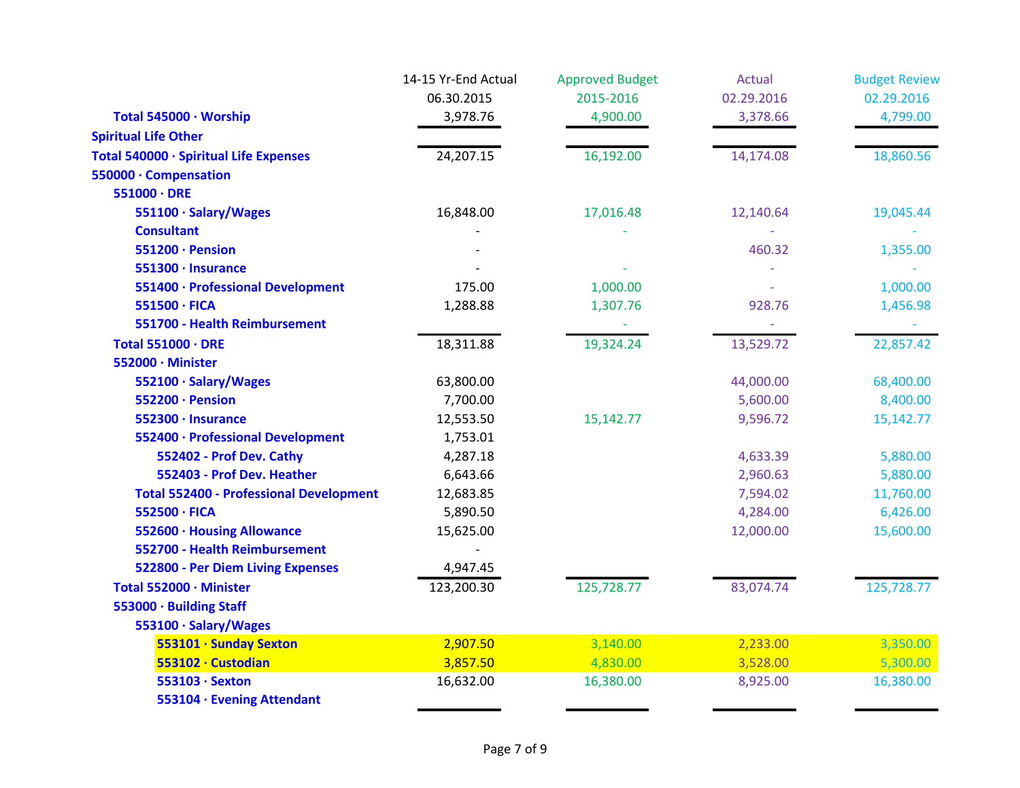|                                                | 14-15 Yr-End Actual | <b>Approved Budget</b> | Actual     | <b>Budget Review</b> |
|------------------------------------------------|---------------------|------------------------|------------|----------------------|
|                                                | 06.30.2015          | 2015-2016              | 02.29.2016 | 02.29.2016           |
| Total 545000 · Worship                         | 3,978.76            | 4,900.00               | 3,378.66   | 4,799.00             |
| <b>Spiritual Life Other</b>                    |                     |                        |            |                      |
| Total 540000 · Spiritual Life Expenses         | 24,207.15           | 16,192.00              | 14,174.08  | 18,860.56            |
| 550000 · Compensation                          |                     |                        |            |                      |
| $551000 \cdot DRE$                             |                     |                        |            |                      |
| 551100 · Salary/Wages                          | 16,848.00           | 17,016.48              | 12,140.64  | 19,045.44            |
| <b>Consultant</b>                              |                     |                        |            |                      |
| 551200 · Pension                               |                     |                        | 460.32     | 1,355.00             |
| 551300 · Insurance                             |                     |                        |            |                      |
| 551400 · Professional Development              | 175.00              | 1,000.00               |            | 1,000.00             |
| 551500 · FICA                                  | 1,288.88            | 1,307.76               | 928.76     | 1,456.98             |
| 551700 - Health Reimbursement                  |                     |                        |            |                      |
| Total 551000 · DRE                             | 18,311.88           | 19,324.24              | 13,529.72  | 22,857.42            |
| 552000 · Minister                              |                     |                        |            |                      |
| 552100 · Salary/Wages                          | 63,800.00           |                        | 44,000.00  | 68,400.00            |
| 552200 · Pension                               | 7,700.00            |                        | 5,600.00   | 8,400.00             |
| 552300 · Insurance                             | 12,553.50           | 15,142.77              | 9,596.72   | 15,142.77            |
| 552400 · Professional Development              | 1,753.01            |                        |            |                      |
| 552402 - Prof Dev. Cathy                       | 4,287.18            |                        | 4,633.39   | 5,880.00             |
| 552403 - Prof Dev. Heather                     | 6,643.66            |                        | 2,960.63   | 5,880.00             |
| <b>Total 552400 - Professional Development</b> | 12,683.85           |                        | 7,594.02   | 11,760.00            |
| 552500 · FICA                                  | 5,890.50            |                        | 4,284.00   | 6,426.00             |
| 552600 · Housing Allowance                     | 15,625.00           |                        | 12,000.00  | 15,600.00            |
| 552700 - Health Reimbursement                  |                     |                        |            |                      |
| 522800 - Per Diem Living Expenses              | 4,947.45            |                        |            |                      |
| Total 552000 · Minister                        | 123,200.30          | 125,728.77             | 83,074.74  | 125,728.77           |
| 553000 · Building Staff                        |                     |                        |            |                      |
| 553100 · Salary/Wages                          |                     |                        |            |                      |
| 553101 · Sunday Sexton                         | 2,907.50            | 3,140.00               | 2,233.00   | 3,350.00             |
| 553102 · Custodian                             | 3,857.50            | 4,830.00               | 3,528.00   | 5,300.00             |
| 553103 · Sexton                                | 16,632.00           | 16,380.00              | 8,925.00   | 16,380.00            |
| 553104 · Evening Attendant                     |                     |                        |            |                      |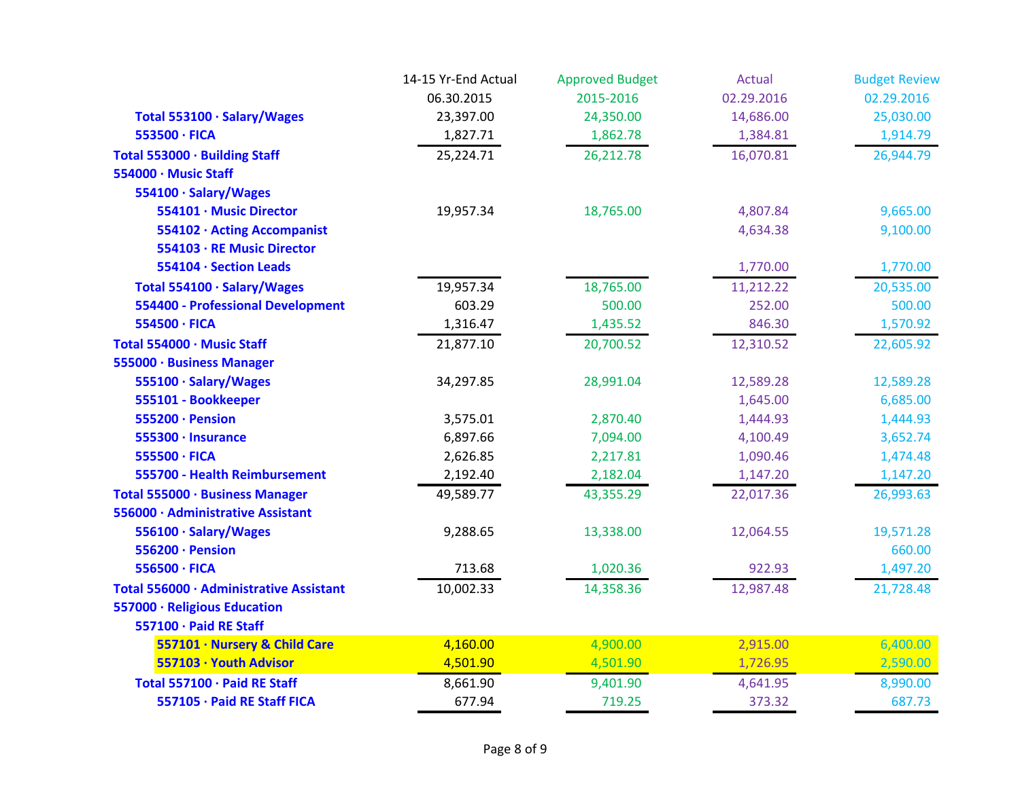|                                          | 14-15 Yr-End Actual | <b>Approved Budget</b> | Actual     | <b>Budget Review</b> |
|------------------------------------------|---------------------|------------------------|------------|----------------------|
|                                          | 06.30.2015          | 2015-2016              | 02.29.2016 | 02.29.2016           |
| Total 553100 · Salary/Wages              | 23,397.00           | 24,350.00              | 14,686.00  | 25,030.00            |
| 553500 · FICA                            | 1,827.71            | 1,862.78               | 1,384.81   | 1,914.79             |
| Total 553000 · Building Staff            | 25,224.71           | 26,212.78              | 16,070.81  | 26,944.79            |
| 554000 · Music Staff                     |                     |                        |            |                      |
| 554100 · Salary/Wages                    |                     |                        |            |                      |
| 554101 · Music Director                  | 19,957.34           | 18,765.00              | 4,807.84   | 9,665.00             |
| 554102 · Acting Accompanist              |                     |                        | 4,634.38   | 9,100.00             |
| 554103 · RE Music Director               |                     |                        |            |                      |
| 554104 · Section Leads                   |                     |                        | 1,770.00   | 1,770.00             |
| Total 554100 · Salary/Wages              | 19,957.34           | 18,765.00              | 11,212.22  | 20,535.00            |
| <b>554400 - Professional Development</b> | 603.29              | 500.00                 | 252.00     | 500.00               |
| 554500 · FICA                            | 1,316.47            | 1,435.52               | 846.30     | 1,570.92             |
| Total 554000 · Music Staff               | 21,877.10           | 20,700.52              | 12,310.52  | 22,605.92            |
| 555000 · Business Manager                |                     |                        |            |                      |
| 555100 · Salary/Wages                    | 34,297.85           | 28,991.04              | 12,589.28  | 12,589.28            |
| 555101 - Bookkeeper                      |                     |                        | 1,645.00   | 6,685.00             |
| 555200 · Pension                         | 3,575.01            | 2,870.40               | 1,444.93   | 1,444.93             |
| 555300 · Insurance                       | 6,897.66            | 7,094.00               | 4,100.49   | 3,652.74             |
| 555500 · FICA                            | 2,626.85            | 2,217.81               | 1,090.46   | 1,474.48             |
| 555700 - Health Reimbursement            | 2,192.40            | 2,182.04               | 1,147.20   | 1,147.20             |
| Total 555000 · Business Manager          | 49,589.77           | 43,355.29              | 22,017.36  | 26,993.63            |
| 556000 · Administrative Assistant        |                     |                        |            |                      |
| 556100 · Salary/Wages                    | 9,288.65            | 13,338.00              | 12,064.55  | 19,571.28            |
| 556200 · Pension                         |                     |                        |            | 660.00               |
| 556500 · FICA                            | 713.68              | 1,020.36               | 922.93     | 1,497.20             |
| Total 556000 · Administrative Assistant  | 10,002.33           | 14,358.36              | 12,987.48  | 21,728.48            |
| 557000 · Religious Education             |                     |                        |            |                      |
| 557100 · Paid RE Staff                   |                     |                        |            |                      |
| 557101 · Nursery & Child Care            | 4,160.00            | 4,900.00               | 2,915.00   | 6,400.00             |
| 557103 · Youth Advisor                   | 4,501.90            | 4,501.90               | 1,726.95   | 2,590.00             |
| Total 557100 · Paid RE Staff             | 8,661.90            | 9,401.90               | 4,641.95   | 8,990.00             |
| 557105 · Paid RE Staff FICA              | 677.94              | 719.25                 | 373.32     | 687.73               |